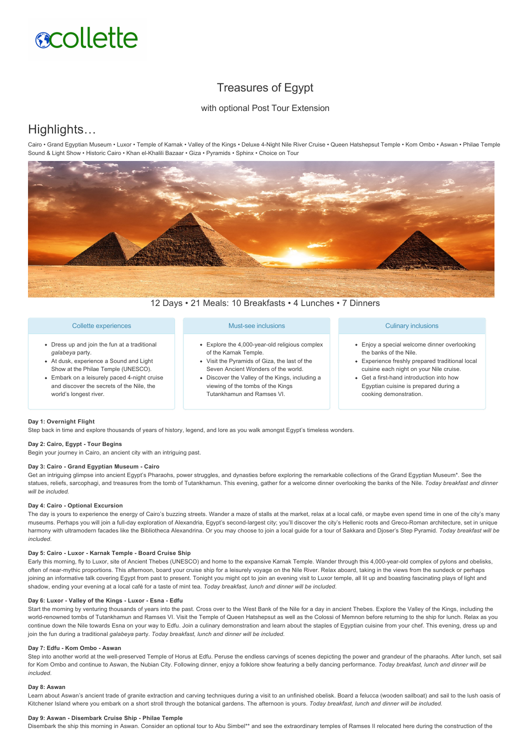# **scollette**

# Treasures of Egypt

# with optional Post Tour Extension

# Highlights…

Cairo • Grand Egyptian Museum • Luxor • Temple of Karnak • Valley of the Kings • Deluxe 4-Night Nile River Cruise • Queen Hatshepsut Temple • Kom Ombo • Aswan • Philae Temple Sound & Light Show • Historic Cairo • Khan el-Khalili Bazaar • Giza • Pyramids • Sphinx • Choice on Tour



12 Days • 21 Meals: 10 Breakfasts • 4 Lunches • 7 Dinners

## Collette experiences

- Dress up and join the fun at a traditional *galabeya* party.
- At dusk, experience a Sound and Light Show at the Philae Temple (UNESCO).
- Embark on a leisurely paced 4-night cruise and discover the secrets of the Nile, the world's longest river.

# Must-see inclusions

- Explore the 4,000-year-old religious complex of the Karnak Temple.
- Visit the Pyramids of Giza, the last of the Seven Ancient Wonders of the world.
- Discover the Valley of the Kings, including a viewing of the tombs of the Kings Tutankhamun and Ramses VI.

#### Culinary inclusions

- Enjoy a special welcome dinner overlooking the banks of the Nile.
- Experience freshly prepared traditional local cuisine each night on your Nile cruise.
- Get a first-hand introduction into how Egyptian cuisine is prepared during a cooking demonstration.

#### **Day 1: Overnight Flight**

Step back in time and explore thousands of years of history, legend, and lore as you walk amongst Egypt's timeless wonders.

## Day 2: Cairo, Egypt - Tour Begins

Begin your journey in Cairo, an ancient city with an intriguing past.

#### Day 3: Cairo - Grand Egyptian Museum - Cairo

Get an intriguing glimpse into ancient Egypt's Pharaohs, power struggles, and dynasties before exploring the remarkable collections of the Grand Egyptian Museum\*. See the statues, reliefs, sarcophagi, and treasures from the tomb of Tutankhamun. This evening, gather for a welcome dinner overlooking the banks of the Nile. *Today breakfast and dinner will be included.*

#### **Day 4: Cairo - Optional Excursion**

The day is yours to experience the energy of Cairo's buzzing streets. Wander a maze of stalls at the market, relax at a local café, or maybe even spend time in one of the city's many museums. Perhaps you will join a full-day exploration of Alexandria, Egypt's second-largest city; you'll discover the city's Hellenic roots and Greco-Roman architecture, set in unique harmony with ultramodern facades like the Bibliotheca Alexandrina. Or you may choose to join a local guide for a tour of Sakkara and Djoser's Step Pyramid. *Today breakfast will be included.*

#### Day 5: Cairo - Luxor - Karnak Temple - Board Cruise Ship

Early this morning, fly to Luxor, site of Ancient Thebes (UNESCO) and home to the expansive Karnak Temple. Wander through this 4,000-year-old complex of pylons and obelisks, often of nearmythic proportions. This afternoon, board your cruise ship for a leisurely voyage on the Nile River. Relax aboard, taking in the views from the sundeck or perhaps joining an informative talk covering Egypt from past to present. Tonight you might opt to join an evening visit to Luxor temple, all lit up and boasting fascinating plays of light and shadow, ending your evening at a local café for a taste of mint tea. *Today breakfast, lunch and dinner will be included.*

#### Day 6: Luxor - Valley of the Kings - Luxor - Esna - Edfu

Start the morning by venturing thousands of years into the past. Cross over to the West Bank of the Nile for a day in ancient Thebes. Explore the Valley of the Kings, including the world-renowned tombs of Tutankhamun and Ramses VI. Visit the Temple of Queen Hatshepsut as well as the Colossi of Memnon before returning to the ship for lunch. Relax as you continue down the Nile towards Esna on your way to Edfu. Join a culinary demonstration and learn about the staples of Egyptian cuisine from your chef. This evening, dress up and join the fun during a traditional *galabeya* party. *Today breakfast, lunch and dinner will be included.*

## Day 7: Edfu - Kom Ombo - Aswan

Step into another world at the well-preserved Temple of Horus at Edfu. Peruse the endless carvings of scenes depicting the power and grandeur of the pharaohs. After lunch, set sail for Kom Ombo and continue to Aswan, the Nubian City. Following dinner, enjoy a folklore show featuring a belly dancing performance. *Today breakfast, lunch and dinner will be included.*

#### **Day 8: Aswan**

Learn about Aswan's ancient trade of granite extraction and carving techniques during a visit to an unfinished obelisk. Board a felucca (wooden sailboat) and sail to the lush oasis of Kitchener Island where you embark on a short stroll through the botanical gardens. The afternoon is yours. *Today breakfast, lunch and dinner will be included.*

#### Day 9: Aswan - Disembark Cruise Ship - Philae Temple

Disembark the ship this morning in Aswan. Consider an optional tour to Abu Simbel\*\* and see the extraordinary temples of Ramses II relocated here during the construction of the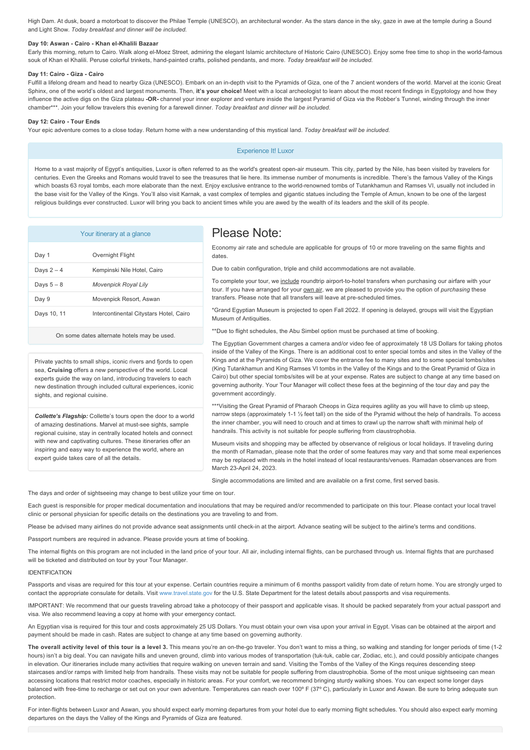High Dam. At dusk, board a motorboat to discover the Philae Temple (UNESCO), an architectural wonder. As the stars dance in the sky, gaze in awe at the temple during a Sound and Light Show. *Today breakfast and dinner will be included.*

# Day 10: Aswan - Cairo - Khan el-Khalili Bazaar

Early this morning, return to Cairo. Walk along el-Moez Street, admiring the elegant Islamic architecture of Historic Cairo (UNESCO). Enjoy some free time to shop in the world-famous souk of Khan el Khalili. Peruse colorful trinkets, hand-painted crafts, polished pendants, and more. Today breakfast will be included.

#### Day 11: Cairo - Giza - Cairo

Fulfill a lifelong dream and head to nearby Giza (UNESCO). Embark on an in-depth visit to the Pyramids of Giza, one of the 7 ancient wonders of the world. Marvel at the iconic Great Sphinx, one of the world's oldest and largest monuments. Then, **it's your choice!** Meet with a local archeologist to learn about the most recent findings in Fayptology and how they influence the active digs on the Giza plateau **OR** channel your inner explorer and venture inside the largest Pyramid of Giza via the Robber's Tunnel, winding through the inner chamber\*\*\*. Join your fellow travelers this evening for a farewell dinner. *Today breakfast and dinner will be included.*

#### Day 12: Cairo - Tour Ends

Your epic adventure comes to a close today. Return home with a new understanding of this mystical land. *Today breakfast will be included.*

## Experience It! Luxor

Home to a vast majority of Egypt's antiquities, Luxor is often referred to as the world's greatest open-air museum. This city, parted by the Nile, has been visited by travelers for centuries. Even the Greeks and Romans would travel to see the treasures that lie here. Its immense number of monuments is incredible. There's the famous Valley of the Kings which boasts 63 royal tombs, each more elaborate than the next. Enjoy exclusive entrance to the world-renowned tombs of Tutankhamun and Ramses VI, usually not included in the base visit for the Valley of the Kings. You'll also visit Karnak, a vast complex of temples and gigantic statues including the Temple of Amun, known to be one of the largest religious buildings ever constructed. Luxor will bring you back to ancient times while you are awed by the wealth of its leaders and the skill of its people.

|  | Your itinerary at a glance |  |  |
|--|----------------------------|--|--|
|--|----------------------------|--|--|

| Day 1       | Overnight Flight                        |
|-------------|-----------------------------------------|
| Days 2 – 4  | Kempinski Nile Hotel, Cairo             |
| Days 5 – 8  | <b>Movenpick Royal Lily</b>             |
| Day 9       | Movenpick Resort, Aswan                 |
| Days 10, 11 | Intercontinental Citystars Hotel, Cairo |
|             |                                         |

On some dates alternate hotels may be used.

Private yachts to small ships, iconic rivers and fjords to open sea, **Cruising** offers a new perspective of the world. Local experts guide the way on land, introducing travelers to each new destination through included cultural experiences, iconic sights, and regional cuisine.

*Collette's Flagship:* Collette's tours open the door to a world of amazing destinations. Marvel at must-see sights, sample regional cuisine, stay in centrally located hotels and connect with new and captivating cultures. These itineraries offer an inspiring and easy way to experience the world, where an expert guide takes care of all the details.

# Please Note:

Economy air rate and schedule are applicable for groups of 10 or more traveling on the same flights and dates.

Due to cabin configuration, triple and child accommodations are not available.

To complete your tour, we include roundtrip airport-to-hotel transfers when purchasing our airfare with your tour. If you have arranged for your **own air**, we are pleased to provide you the option of *purchasing* these transfers. Please note that all transfers will leave at pre-scheduled times.

\*Grand Egyptian Museum is projected to open Fall 2022. If opening is delayed, groups will visit the Egyptian Museum of Antiquities.

\*\*Due to flight schedules, the Abu Simbel option must be purchased at time of booking.

The Egyptian Government charges a camera and/or video fee of approximately 18 US Dollars for taking photos inside of the Valley of the Kings. There is an additional cost to enter special tombs and sites in the Valley of the Kings and at the Pyramids of Giza. We cover the entrance fee to many sites and to some special tombs/sites (King Tutankhamun and King Ramses VI tombs in the Valley of the Kings and to the Great Pyramid of Giza in Cairo) but other special tombs/sites will be at your expense. Rates are subject to change at any time based on governing authority. Your Tour Manager will collect these fees at the beginning of the tour day and pay the government accordingly.

\*\*\*Visiting the Great Pyramid of Pharaoh Cheops in Giza requires agility as you will have to climb up steep, narrow steps (approximately 1-1 1/2 feet tall) on the side of the Pyramid without the help of handrails. To access the inner chamber, you will need to crouch and at times to crawl up the narrow shaft with minimal help of handrails. This activity is not suitable for people suffering from claustrophobia.

Museum visits and shopping may be affected by observance of religious or local holidays. If traveling during the month of Ramadan, please note that the order of some features may vary and that some meal experiences may be replaced with meals in the hotel instead of local restaurants/venues. Ramadan observances are from March 23-April 24, 2023.

Single accommodations are limited and are available on a first come, first served basis.

The days and order of sightseeing may change to best utilize your time on tour.

Each quest is responsible for proper medical documentation and inoculations that may be required and/or recommended to participate on this tour. Please contact your local travel clinic or personal physician for specific details on the destinations you are traveling to and from.

Please be advised many airlines do not provide advance seat assignments until check-in at the airport. Advance seating will be subject to the airline's terms and conditions.

Passport numbers are required in advance. Please provide yours at time of booking.

The internal flights on this program are not included in the land price of your tour. All air, including internal flights, can be purchased through us. Internal flights that are purchased will be ticketed and distributed on tour by your Tour Manager.

#### IDENTIFICATION

Passports and visas are required for this tour at your expense. Certain countries require a minimum of 6 months passport validity from date of return home. You are strongly urged to contact the appropriate consulate for details. Visit [www.travel.state.gov](https://itinerary.collette.com/Documents/Flyer/14158/USD/www.travel.state.gov) for the U.S. State Department for the latest details about passports and visa requirements.

IMPORTANT: We recommend that our guests traveling abroad take a photocopy of their passport and applicable visas. It should be packed separately from your actual passport and visa. We also recommend leaving a copy at home with your emergency contact.

An Egyptian visa is required for this tour and costs approximately 25 US Dollars. You must obtain your own visa upon your arrival in Egypt. Visas can be obtained at the airport and payment should be made in cash. Rates are subject to change at any time based on governing authority.

The overall activity level of this tour is a level 3. This means you're an on-the-go traveler. You don't want to miss a thing, so walking and standing for longer periods of time (1-2 hours) isn't a big deal. You can navigate hills and uneven ground, climb into various modes of transportation (tuk-tuk, cable car, Zodiac, etc.), and could possibly anticipate changes in elevation. Our itineraries include many activities that require walking on uneven terrain and sand. Visiting the Tombs of the Valley of the Kings requires descending steep staircases and/or ramps with limited help from handrails. These visits may not be suitable for people suffering from claustrophobia. Some of the most unique sightseeing can mean accessing locations that restrict motor coaches, especially in historic areas. For your comfort, we recommend bringing sturdy walking shoes. You can expect some longer days balanced with free-time to recharge or set out on your own adventure. Temperatures can reach over 100° F (37° C), particularly in Luxor and Aswan. Be sure to bring adequate sun protection.

For inter-flights between Luxor and Aswan, you should expect early morning departures from your hotel due to early morning flight schedules. You should also expect early morning departures on the days the Valley of the Kings and Pyramids of Giza are featured.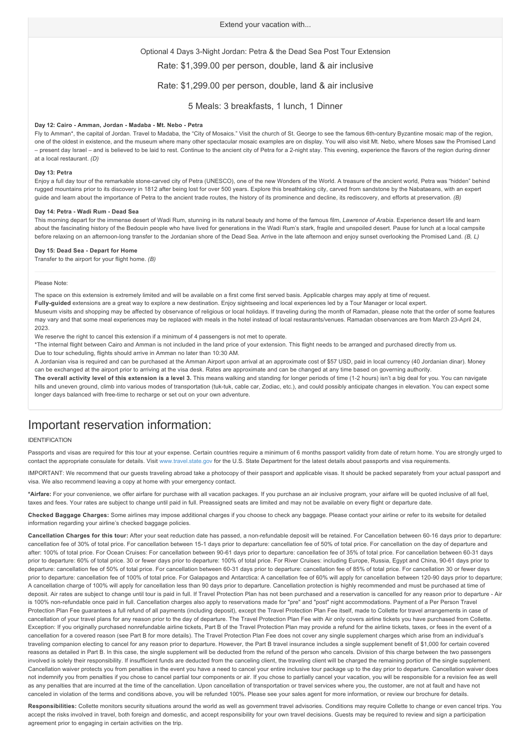## Optional 4 Days 3-Night Jordan: Petra & the Dead Sea Post Tour Extension

Rate: \$1,399.00 per person, double, land & air inclusive

## Rate: \$1,299.00 per person, double, land & air inclusive

5 Meals: 3 breakfasts, 1 lunch, 1 Dinner

#### Day 12: Cairo - Amman, Jordan - Madaba - Mt. Nebo - Petra

Fly to Amman\*, the capital of Jordan. Travel to Madaba, the "City of Mosaics." Visit the church of St. George to see the famous 6thcentury Byzantine mosaic map of the region, one of the oldest in existence, and the museum where many other spectacular mosaic examples are on display. You will also visit Mt. Nebo, where Moses saw the Promised Land – present day Israel – and is believed to be laid to rest. Continue to the ancient city of Petra for a 2night stay. This evening, experience the flavors of the region during dinner at a local restaurant. *(D)*

#### **Day 13: Petra**

Enjoy a full day tour of the remarkable stonecarved city of Petra (UNESCO), one of the new Wonders of the World. A treasure of the ancient world, Petra was "hidden" behind rugged mountains prior to its discovery in 1812 after being lost for over 500 years. Explore this breathtaking city, carved from sandstone by the Nabataeans, with an expert guide and learn about the importance of Petra to the ancient trade routes, the history of its prominence and decline, its rediscovery, and efforts at preservation. *(B)*

#### Day 14: Petra - Wadi Rum - Dead Sea

This morning depart for the immense desert of Wadi Rum, stunning in its natural beauty and home of the famous film, *Lawrence of Arabia*. Experience desert life and learn about the fascinating history of the Bedouin people who have lived for generations in the Wadi Rum's stark, fragile and unspoiled desert. Pause for lunch at a local campsite before relaxing on an afternoon-long transfer to the Jordanian shore of the Dead Sea. Arrive in the late afternoon and enjoy sunset overlooking the Promised Land. (B, L)

#### **Day 15: Dead Sea Depart for Home**

Transfer to the airport for your flight home. *(B)*

#### Please Note:

The space on this extension is extremely limited and will be available on a first come first served basis. Applicable charges may apply at time of request. Fully-quided extensions are a great way to explore a new destination. Enjoy sightseeing and local experiences led by a Tour Manager or local expert. Museum visits and shopping may be affected by observance of religious or local holidays. If traveling during the month of Ramadan, please note that the order of some features may vary and that some meal experiences may be replaced with meals in the hotel instead of local restaurants/venues. Ramadan observances are from March 23-April 24, 2023.

We reserve the right to cancel this extension if a minimum of 4 passengers is not met to operate.

\*The internal flight between Cairo and Amman is not included in the land price of your extension. This flight needs to be arranged and purchased directly from us. Due to tour scheduling, flights should arrive in Amman no later than 10:30 AM.

A Jordanian visa is required and can be purchased at the Amman Airport upon arrival at an approximate cost of \$57 USD, paid in local currency (40 Jordanian dinar). Money can be exchanged at the airport prior to arriving at the visa desk. Rates are approximate and can be changed at any time based on governing authority.

**The overall activity level of this extension is a level 3.** This means walking and standing for longer periods of time (12 hours) isn't a big deal for you. You can navigate hills and uneven ground, climb into various modes of transportation (tuk-tuk, cable car, Zodiac, etc.), and could possibly anticipate changes in elevation. You can expect some longer days balanced with free-time to recharge or set out on your own adventure

# Important reservation information:

#### IDENTIFICATION

Passports and visas are required for this tour at your expense. Certain countries require a minimum of 6 months passport validity from date of return home. You are strongly urged to contact the appropriate consulate for details. Visit [www.travel.state.gov](https://itinerary.collette.com/Documents/Flyer/14158/USD/www.travel.state.gov) for the U.S. State Department for the latest details about passports and visa requirements.

IMPORTANT: We recommend that our guests traveling abroad take a photocopy of their passport and applicable visas. It should be packed separately from your actual passport and visa. We also recommend leaving a copy at home with your emergency contact.

**\*Airfare:** For your convenience, we offer airfare for purchase with all vacation packages. If you purchase an air inclusive program, your airfare will be quoted inclusive of all fuel, taxes and fees. Your rates are subject to change until paid in full. Preassigned seats are limited and may not be available on every flight or departure date.

**Checked Baggage Charges:** Some airlines may impose additional charges if you choose to check any baggage. Please contact your airline or refer to its website for detailed information regarding your airline's checked baggage policies.

Cancellation Charges for this tour: After your seat reduction date has passed, a non-refundable deposit will be retained. For Cancellation between 60-16 days prior to departure: cancellation fee of 30% of total price. For cancellation between 15-1 days prior to departure: cancellation fee of 50% of total price. For cancellation on the day of departure and after: 100% of total price. For Ocean Cruises: For cancellation between 90-61 days prior to departure: cancellation fee of 35% of total price. For cancellation between 60-31 days prior to departure: 60% of total price. 30 or fewer days prior to departure: 100% of total price. For River Cruises: including Europe, Russia, Egypt and China, 90-61 days prior to departure: cancellation fee of 50% of total price. For cancellation between 6031 days prior to departure: cancellation fee of 85% of total price. For cancellation 30 or fewer days prior to departure: cancellation fee of 100% of total price. For Galapagos and Antarctica: A cancellation fee of 60% will apply for cancellation between 120-90 days prior to departure; A cancellation charge of 100% will apply for cancellation less than 90 days prior to departure. Cancellation protection is highly recommended and must be purchased at time of deposit. Air rates are subject to change until tour is paid in full. If Travel Protection Plan has not been purchased and a reservation is cancelled for any reason prior to departure - Air is 100% non-refundable once paid in full. Cancellation charges also apply to reservations made for "pre" and "post" night accommodations. Payment of a Per Person Travel Protection Plan Fee guarantees a full refund of all payments (including deposit), except the Travel Protection Plan Fee itself, made to Collette for travel arrangements in case of cancellation of your travel plans for any reason prior to the day of departure. The Travel Protection Plan Fee with Air only covers airline tickets you have purchased from Collette. Exception: If you originally purchased nonrefundable airline tickets, Part B of the Travel Protection Plan may provide a refund for the airline tickets, taxes, or fees in the event of a cancellation for a covered reason (see Part B for more details). The Travel Protection Plan Fee does not cover any single supplement charges which arise from an individual's traveling companion electing to cancel for any reason prior to departure. However, the Part B travel insurance includes a single supplement benefit of \$1,000 for certain covered reasons as detailed in Part B. In this case, the single supplement will be deducted from the refund of the person who cancels. Division of this charge between the two passengers involved is solely their responsibility. If insufficient funds are deducted from the canceling client, the traveling client will be charged the remaining portion of the single supplement. Cancellation waiver protects you from penalties in the event you have a need to cancel your entire inclusive tour package up to the day prior to departure. Cancellation waiver does not indemnify you from penalties if you chose to cancel partial tour components or air. If you chose to partially cancel your vacation, you will be responsible for a revision fee as well as any penalties that are incurred at the time of the cancellation. Upon cancellation of transportation or travel services where you, the customer, are not at fault and have not canceled in violation of the terms and conditions above, you will be refunded 100%. Please see your sales agent for more information, or review our brochure for details.

Responsibilities: Collette monitors security situations around the world as well as government travel advisories. Conditions may require Collette to change or even cancel trips. You accept the risks involved in travel, both foreign and domestic, and accept responsibility for your own travel decisions. Guests may be required to review and sign a participation agreement prior to engaging in certain activities on the trip.